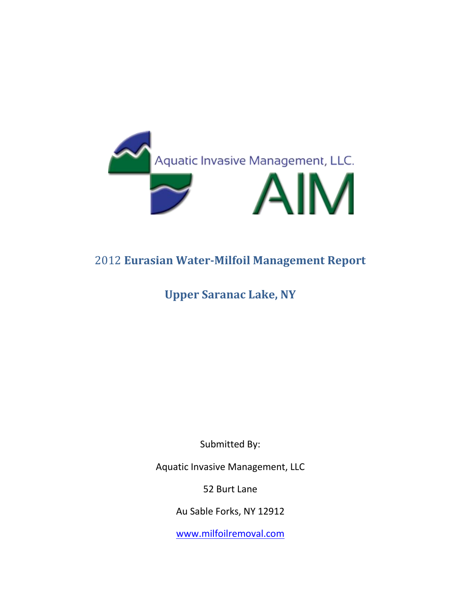

# 2012 **Eurasian Water-Milfoil Management Report**

# **Upper Saranac Lake, NY**

Submitted By:

Aquatic Invasive Management, LLC

52 Burt Lane

Au Sable Forks, NY 12912

[www.milfoilremoval.com](http://www.milfoilremoval.com/)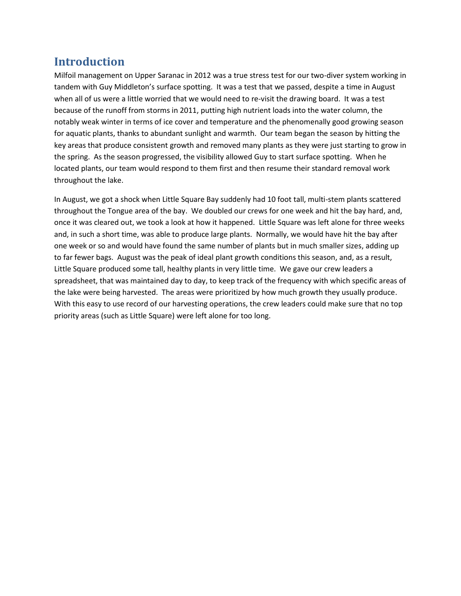### **Introduction**

Milfoil management on Upper Saranac in 2012 was a true stress test for our two-diver system working in tandem with Guy Middleton's surface spotting. It was a test that we passed, despite a time in August when all of us were a little worried that we would need to re-visit the drawing board. It was a test because of the runoff from storms in 2011, putting high nutrient loads into the water column, the notably weak winter in terms of ice cover and temperature and the phenomenally good growing season for aquatic plants, thanks to abundant sunlight and warmth. Our team began the season by hitting the key areas that produce consistent growth and removed many plants as they were just starting to grow in the spring. As the season progressed, the visibility allowed Guy to start surface spotting. When he located plants, our team would respond to them first and then resume their standard removal work throughout the lake.

In August, we got a shock when Little Square Bay suddenly had 10 foot tall, multi-stem plants scattered throughout the Tongue area of the bay. We doubled our crews for one week and hit the bay hard, and, once it was cleared out, we took a look at how it happened. Little Square was left alone for three weeks and, in such a short time, was able to produce large plants. Normally, we would have hit the bay after one week or so and would have found the same number of plants but in much smaller sizes, adding up to far fewer bags. August was the peak of ideal plant growth conditions this season, and, as a result, Little Square produced some tall, healthy plants in very little time. We gave our crew leaders a spreadsheet, that was maintained day to day, to keep track of the frequency with which specific areas of the lake were being harvested. The areas were prioritized by how much growth they usually produce. With this easy to use record of our harvesting operations, the crew leaders could make sure that no top priority areas (such as Little Square) were left alone for too long.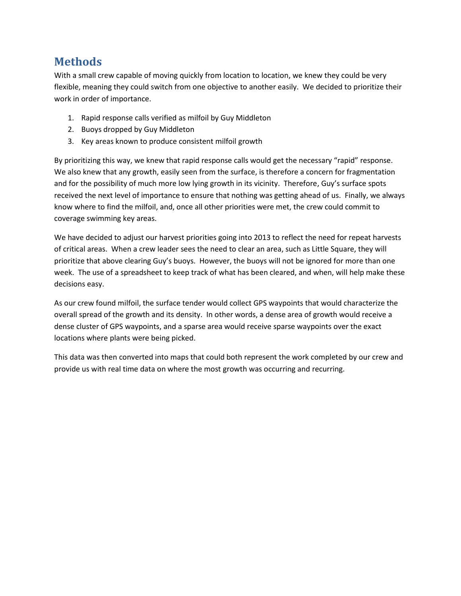### **Methods**

With a small crew capable of moving quickly from location to location, we knew they could be very flexible, meaning they could switch from one objective to another easily. We decided to prioritize their work in order of importance.

- 1. Rapid response calls verified as milfoil by Guy Middleton
- 2. Buoys dropped by Guy Middleton
- 3. Key areas known to produce consistent milfoil growth

By prioritizing this way, we knew that rapid response calls would get the necessary "rapid" response. We also knew that any growth, easily seen from the surface, is therefore a concern for fragmentation and for the possibility of much more low lying growth in its vicinity. Therefore, Guy's surface spots received the next level of importance to ensure that nothing was getting ahead of us. Finally, we always know where to find the milfoil, and, once all other priorities were met, the crew could commit to coverage swimming key areas.

We have decided to adjust our harvest priorities going into 2013 to reflect the need for repeat harvests of critical areas. When a crew leader sees the need to clear an area, such as Little Square, they will prioritize that above clearing Guy's buoys. However, the buoys will not be ignored for more than one week. The use of a spreadsheet to keep track of what has been cleared, and when, will help make these decisions easy.

As our crew found milfoil, the surface tender would collect GPS waypoints that would characterize the overall spread of the growth and its density. In other words, a dense area of growth would receive a dense cluster of GPS waypoints, and a sparse area would receive sparse waypoints over the exact locations where plants were being picked.

This data was then converted into maps that could both represent the work completed by our crew and provide us with real time data on where the most growth was occurring and recurring.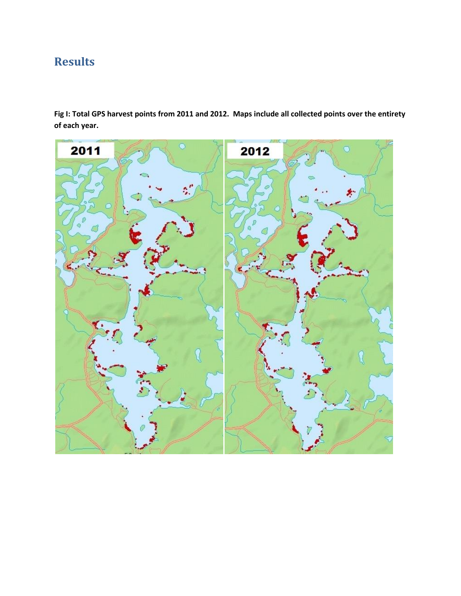# **Results**

**Fig I: Total GPS harvest points from 2011 and 2012. Maps include all collected points over the entirety of each year.**

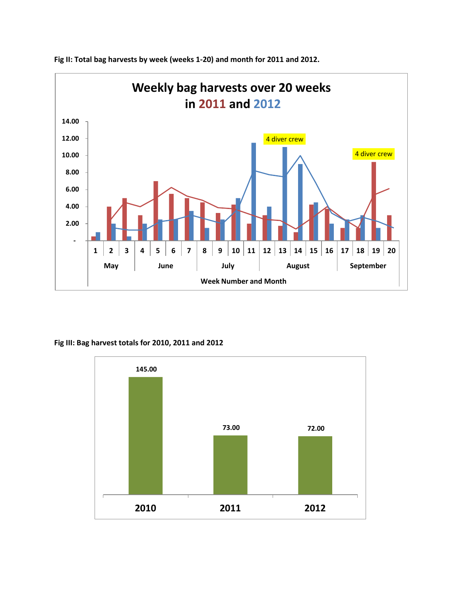

**Fig II: Total bag harvests by week (weeks 1-20) and month for 2011 and 2012.** 

**Fig III: Bag harvest totals for 2010, 2011 and 2012**

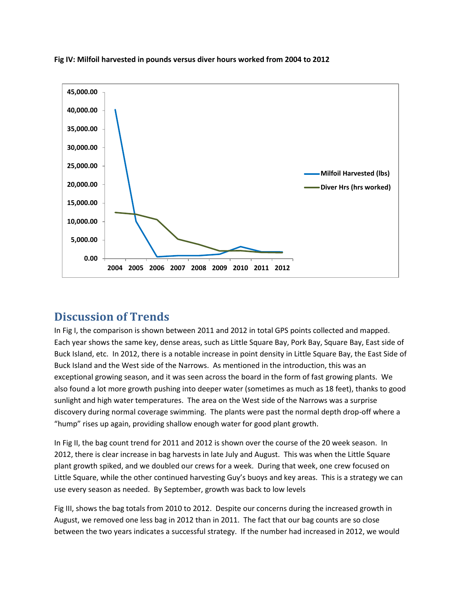

**Fig IV: Milfoil harvested in pounds versus diver hours worked from 2004 to 2012**

### **Discussion of Trends**

In Fig I, the comparison is shown between 2011 and 2012 in total GPS points collected and mapped. Each year shows the same key, dense areas, such as Little Square Bay, Pork Bay, Square Bay, East side of Buck Island, etc. In 2012, there is a notable increase in point density in Little Square Bay, the East Side of Buck Island and the West side of the Narrows. As mentioned in the introduction, this was an exceptional growing season, and it was seen across the board in the form of fast growing plants. We also found a lot more growth pushing into deeper water (sometimes as much as 18 feet), thanks to good sunlight and high water temperatures. The area on the West side of the Narrows was a surprise discovery during normal coverage swimming. The plants were past the normal depth drop-off where a "hump" rises up again, providing shallow enough water for good plant growth.

In Fig II, the bag count trend for 2011 and 2012 is shown over the course of the 20 week season. In 2012, there is clear increase in bag harvests in late July and August. This was when the Little Square plant growth spiked, and we doubled our crews for a week. During that week, one crew focused on Little Square, while the other continued harvesting Guy's buoys and key areas. This is a strategy we can use every season as needed. By September, growth was back to low levels

Fig III, shows the bag totals from 2010 to 2012. Despite our concerns during the increased growth in August, we removed one less bag in 2012 than in 2011. The fact that our bag counts are so close between the two years indicates a successful strategy. If the number had increased in 2012, we would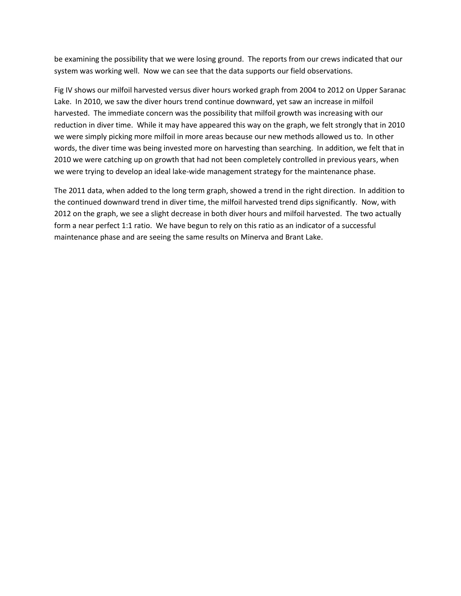be examining the possibility that we were losing ground. The reports from our crews indicated that our system was working well. Now we can see that the data supports our field observations.

Fig IV shows our milfoil harvested versus diver hours worked graph from 2004 to 2012 on Upper Saranac Lake. In 2010, we saw the diver hours trend continue downward, yet saw an increase in milfoil harvested. The immediate concern was the possibility that milfoil growth was increasing with our reduction in diver time. While it may have appeared this way on the graph, we felt strongly that in 2010 we were simply picking more milfoil in more areas because our new methods allowed us to. In other words, the diver time was being invested more on harvesting than searching. In addition, we felt that in 2010 we were catching up on growth that had not been completely controlled in previous years, when we were trying to develop an ideal lake-wide management strategy for the maintenance phase.

The 2011 data, when added to the long term graph, showed a trend in the right direction. In addition to the continued downward trend in diver time, the milfoil harvested trend dips significantly. Now, with 2012 on the graph, we see a slight decrease in both diver hours and milfoil harvested. The two actually form a near perfect 1:1 ratio. We have begun to rely on this ratio as an indicator of a successful maintenance phase and are seeing the same results on Minerva and Brant Lake.